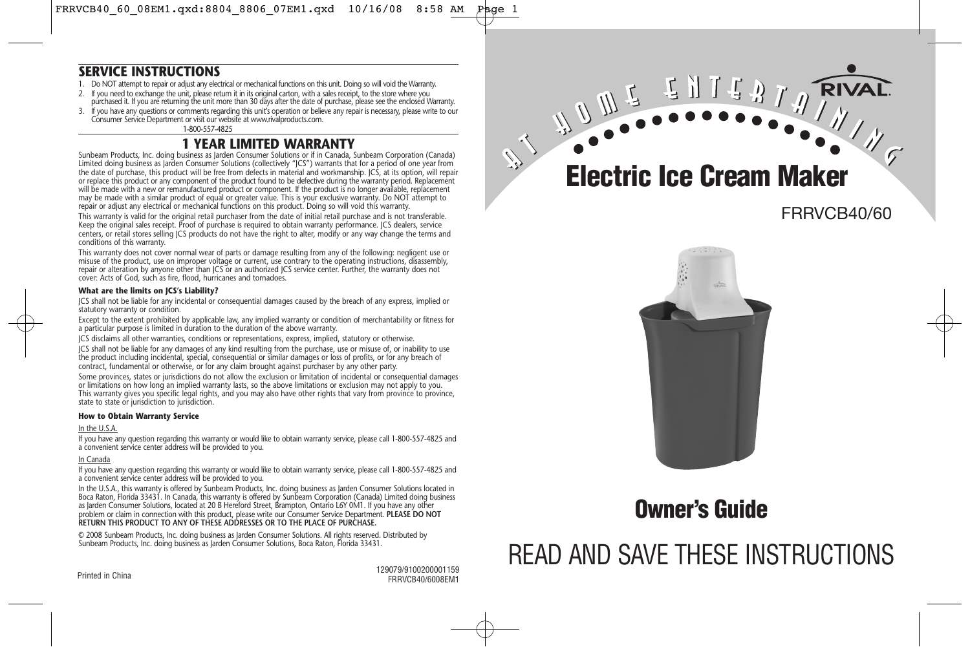### **SERVICE INSTRUCTIONS**

- 1. Do NOT attempt to repair or adjust any electrical or mechanical functions on this unit. Doing so will void the Warranty.
- 2. If you need to exchange the unit, please return it in its original carton, with a sales receipt, to the store where you purchased it. If you are returning the unit more than 30 days after the date of purchase, please see the enclosed Warranty.
- If you have any questions or comments regarding this unit's operation or believe any repair is necessary, please write to our Consumer Service Department or visit our website at www.rivalproducts.com.

1-800-557-4825

## **1 YEAR LIMITED WARRANTY**

Sunbeam Products, Inc. doing business as Jarden Consumer Solutions or if in Canada, Sunbeam Corporation (Canada) Limited doing business as Jarden Consumer Solutions (collectively "JCS") warrants that for a period of one year from the date of purchase, this product will be free from defects in material and workmanship. JCS, at its option, will repair or replace this product or any component of the product found to be defective during the warranty period. Replacement will be made with a new or remanufactured product or component. If the product is no longer available, replacement may be made with a similar product of equal or greater value. This is your exclusive warranty. Do NOT attempt to repair or adjust any electrical or mechanical functions on this product. Doing so will void this warranty.

This warranty is valid for the original retail purchaser from the date of initial retail purchase and is not transferable. Keep the original sales receipt. Proof of purchase is required to obtain warranty performance. JCS dealers, service centers, or retail stores selling JCS products do not have the right to alter, modify or any way change the terms and conditions of this warranty.

This warranty does not cover normal wear of parts or damage resulting from any of the following: negligent use or misuse of the product, use on improper voltage or current, use contrary to the operating instructions, disassembly, repair or alteration by anyone other than JCS or an authorized JCS service center. Further, the warranty does not cover: Acts of God, such as fire, flood, hurricanes and tornadoes.

#### **What are the limits on JCS's Liability?**

JCS shall not be liable for any incidental or consequential damages caused by the breach of any express, implied or statutory warranty or condition.

Except to the extent prohibited by applicable law, any implied warranty or condition of merchantability or fitness for a particular purpose is limited in duration to the duration of the above warranty.

JCS disclaims all other warranties, conditions or representations, express, implied, statutory or otherwise.

JCS shall not be liable for any damages of any kind resulting from the purchase, use or misuse of, or inability to use the product including incidental, special, consequential or similar damages or loss of profits, or for any breach of contract, fundamental or otherwise, or for any claim brought against purchaser by any other party.

Some provinces, states or jurisdictions do not allow the exclusion or limitation of incidental or consequential damages or limitations on how long an implied warranty lasts, so the above limitations or exclusion may not apply to you. This warranty gives you specific legal rights, and you may also have other rights that vary from province to province, state to state or jurisdiction to jurisdiction.

#### **How to Obtain Warranty Service**

#### In the U.S.A.

If you have any question regarding this warranty or would like to obtain warranty service, please call 1-800-557-4825 and a convenient service center address will be provided to you.

#### In Canada

If you have any question regarding this warranty or would like to obtain warranty service, please call 1-800-557-4825 and a convenient service center address will be provided to you.

In the U.S.A., this warranty is offered by Sunbeam Products, Inc. doing business as Jarden Consumer Solutions located in Boca Raton, Florida 33431. In Canada, this warranty is offered by Sunbeam Corporation (Canada) Limited doing business as Jarden Consumer Solutions, located at 20 B Hereford Street, Brampton, Ontario L6Y 0M1. If you have any other problem or claim in connection with this product, please write our Consumer Service Department. **PLEASE DO NOT RETURN THIS PRODUCT TO ANY OF THESE ADDRESSES OR TO THE PLACE OF PURCHASE.** 

© 2008 Sunbeam Products, Inc. doing business as Jarden Consumer Solutions. All rights reserved. Distributed by Sunbeam Products, Inc. doing business as Jarden Consumer Solutions, Boca Raton, Florida 33431.

129079/9100200001159 Printed in China<br>FRRVCB40/6008EM1



FRRVCB40/60

**RIVA** 



## **Owner's Guide**

# READ AND SAVE THESE INSTRUCTIONS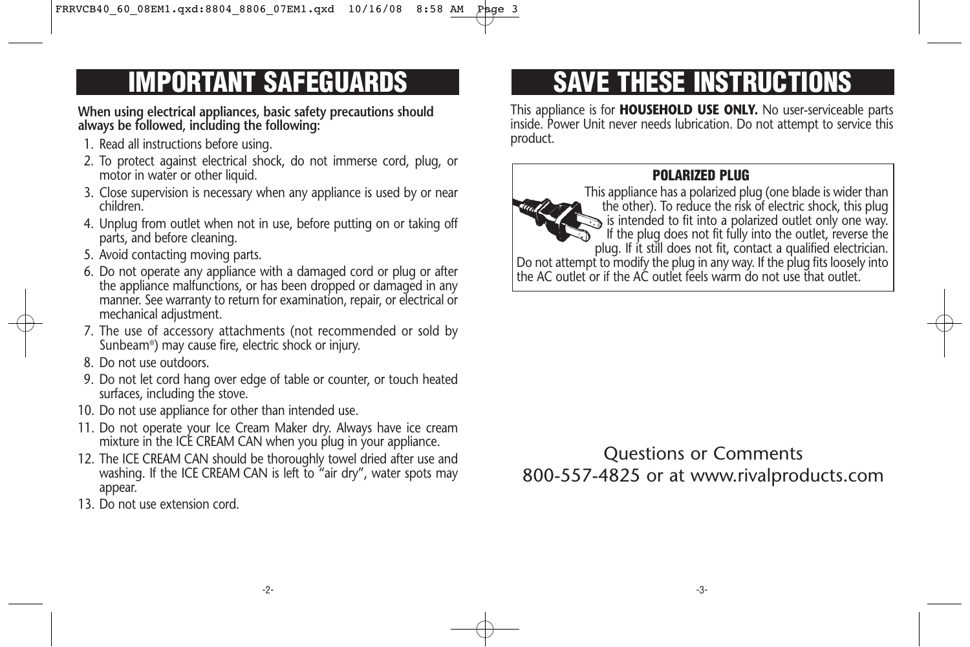**When using electrical appliances, basic safety precautions should always be followed, including the following:** 

- 1. Read all instructions before using.
- 2. To protect against electrical shock, do not immerse cord, plug, or motor in water or other liquid.
- 3. Close supervision is necessary when any appliance is used by or near children.
- 4. Unplug from outlet when not in use, before putting on or taking off parts, and before cleaning.
- 5. Avoid contacting moving parts.
- 6. Do not operate any appliance with a damaged cord or plug or after the appliance malfunctions, or has been dropped or damaged in any manner. See warranty to return for examination, repair, or electrical or mechanical adjustment.
- 7. The use of accessory attachments (not recommended or sold by Sunbeam®) may cause fire, electric shock or injury.
- 8. Do not use outdoors.
- 9. Do not let cord hang over edge of table or counter, or touch heated surfaces, including the stove.
- 10. Do not use appliance for other than intended use.
- 11. Do not operate your Ice Cream Maker dry. Always have ice cream mixture in the ICE CREAM CAN when you plug in your appliance.
- 12. The ICE CREAM CAN should be thoroughly towel dried after use and washing. If the ICE CREAM CAN is left to "air dry", water spots may appear.
- 13. Do not use extension cord.

# **IMPORTANT SAFEGUARDS SAVE THESE INSTRUCTIONS**

This appliance is for **HOUSEHOLD USE ONLY.** No user-serviceable parts inside. Power Unit never needs lubrication. Do not attempt to service this product.

## **POLARIZED PLUG**

This appliance has a polarized plug (one blade is wider than the other). To reduce the risk of electric shock, this plug is intended to fit into a polarized outlet only one way. If the plug does not fit fully into the outlet, reverse the plug. If it still does not fit, contact a qualified electrician. Do not attempt to modify the plug in any way. If the plug fits loosely into the AC outlet or if the AC outlet feels warm do not use that outlet.

Questions or Comments 800-557-4825 or at www.rivalproducts.com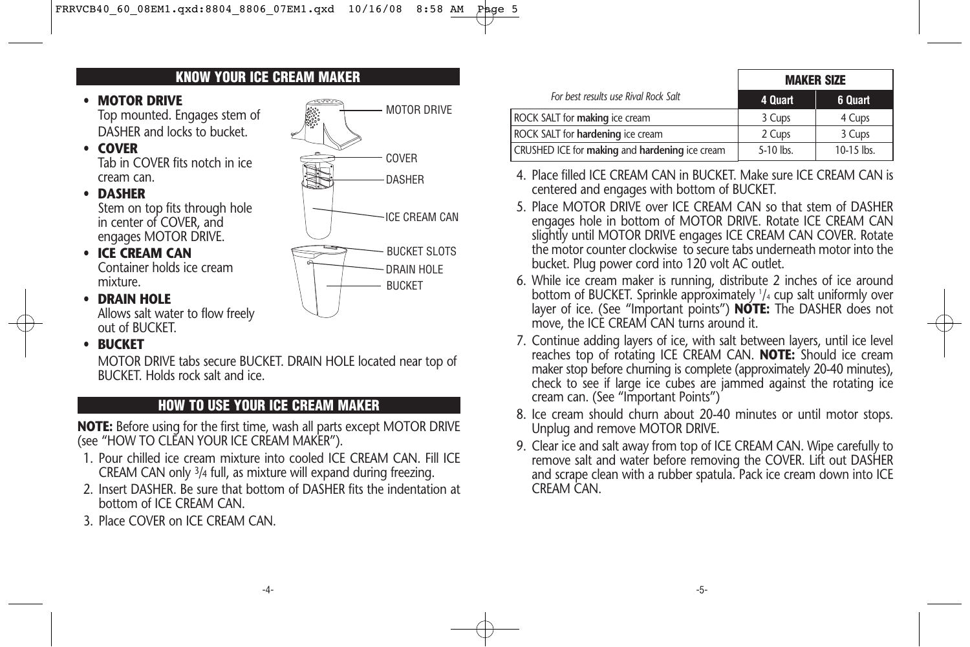DASHER

BUCKET DRAIN HOLE

COVER

MOTOR DRIVE

ICE CREAM CAN

BUCKET SLOTS

**KNOW YOUR ICE CREAM MAKER**



Allows salt water to flow freely out of BUCKET.

## • **BUCKET**

MOTOR DRIVE tabs secure BUCKET. DRAIN HOLE located near top of BUCKET. Holds rock salt and ice.

## **HOW TO USE YOUR ICE CREAM MAKER**

**NOTE:** Before using for the first time, wash all parts except MOTOR DRIVE (see "HOW TO CLEAN YOUR ICE CREAM MAKER").

- 1. Pour chilled ice cream mixture into cooled ICE CREAM CAN. Fill ICE CREAM CAN only 3/4 full, as mixture will expand during freezing.
- 2. Insert DASHER. Be sure that bottom of DASHER fits the indentation at bottom of ICE CREAM CAN.
- 3. Place COVER on ICE CREAM CAN.

|                                                | <b>MAKER SIZE</b> |            |
|------------------------------------------------|-------------------|------------|
| For best results use Rival Rock Salt           | 4 Quart           | 6 Quart    |
| <b>ROCK SALT for making ice cream</b>          | 3 Cups            | 4 Cups     |
| ROCK SALT for hardening ice cream              | 2 Cups            | 3 Cups     |
| CRUSHED ICE for making and hardening ice cream | 5-10 lbs.         | 10-15 lbs. |

- 4. Place filled ICE CREAM CAN in BUCKET. Make sure ICE CREAM CAN is centered and engages with bottom of BUCKET.
- 5. Place MOTOR DRIVE over ICE CREAM CAN so that stem of DASHER engages hole in bottom of MOTOR DRIVE. Rotate ICE CREAM CAN slightly until MOTOR DRIVE engages ICE CREAM CAN COVER. Rotate the motor counter clockwise to secure tabs underneath motor into the bucket. Plug power cord into 120 volt AC outlet.
- 6. While ice cream maker is running, distribute 2 inches of ice around bottom of BUCKET. Sprinkle approximately 1 /4 cup salt uniformly over layer of ice. (See "Important points") **NOTE:** The DASHER does not move, the ICE CREAM CAN turns around it.
- 7. Continue adding layers of ice, with salt between layers, until ice level reaches top of rotating ICE CREAM CAN. **NOTE:** Should ice cream maker stop before churning is complete (approximately 20-40 minutes), check to see if large ice cubes are jammed against the rotating ice cream can. (See "Important Points")
- 8. Ice cream should churn about 20-40 minutes or until motor stops. Unplug and remove MOTOR DRIVE.
- 9. Clear ice and salt away from top of ICE CREAM CAN. Wipe carefully to remove salt and water before removing the COVER. Lift out DASHER and scrape clean with a rubber spatula. Pack ice cream down into ICE CREAM CAN.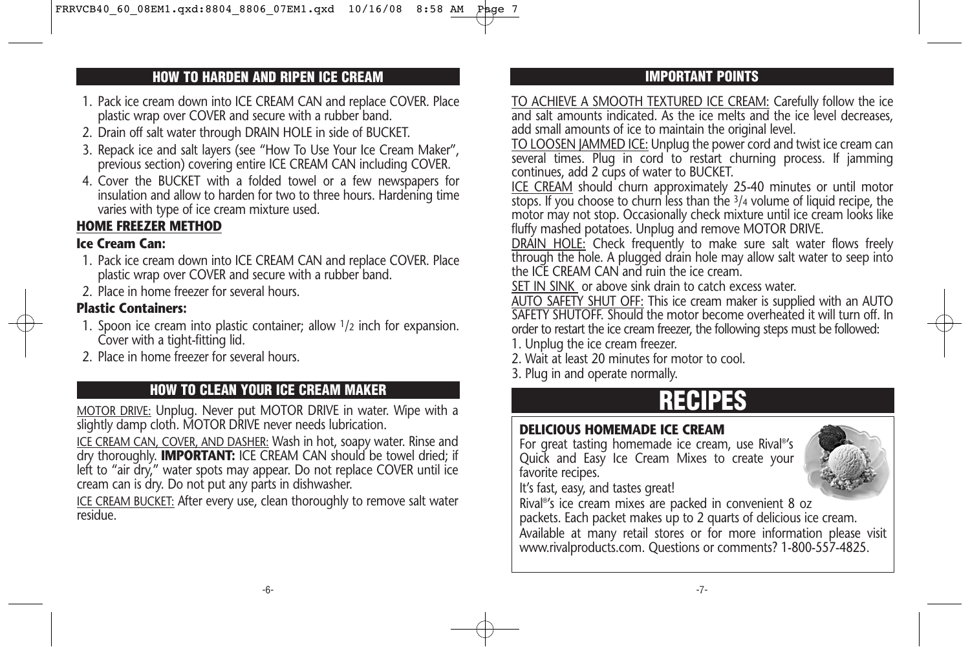## **HOW TO HARDEN AND RIPEN ICE CREAM IMPORTANT POINTS**

- 1. Pack ice cream down into ICE CREAM CAN and replace COVER. Place plastic wrap over COVER and secure with a rubber band.
- 2. Drain off salt water through DRAIN HOLE in side of BUCKET.
- 3. Repack ice and salt layers (see "How To Use Your Ice Cream Maker", previous section) covering entire ICE CREAM CAN including COVER.
- 4. Cover the BUCKET with a folded towel or a few newspapers for insulation and allow to harden for two to three hours. Hardening time varies with type of ice cream mixture used.

## **HOME FREEZER METHOD**

## **Ice Cream Can:**

- 1. Pack ice cream down into ICE CREAM CAN and replace COVER. Place plastic wrap over COVER and secure with a rubber band.
- 2. Place in home freezer for several hours.

## **Plastic Containers:**

- 1. Spoon ice cream into plastic container; allow 1/2 inch for expansion. Cover with a tight-fitting lid.
- 2. Place in home freezer for several hours.

## **HOW TO CLEAN YOUR ICE CREAM MAKER**

MOTOR DRIVE: Unplug. Never put MOTOR DRIVE in water. Wipe with a slightly damp cloth. MOTOR DRIVE never needs lubrication.

ICE CREAM CAN, COVER, AND DASHER: Wash in hot, soapy water. Rinse and dry thoroughly. **IMPORTANT:** ICE CREAM CAN should be towel dried; if left to "air dry," water spots may appear. Do not replace COVER until ice cream can is dry. Do not put any parts in dishwasher.

ICE CREAM BUCKET: After every use, clean thoroughly to remove salt water residue.

TO ACHIEVE A SMOOTH TEXTURED ICE CREAM: Carefully follow the ice and salt amounts indicated. As the ice melts and the ice level decreases, add small amounts of ice to maintain the original level.

TO LOOSEN JAMMED ICE: Unplug the power cord and twist ice cream can several times. Plug in cord to restart churning process. If jamming continues, add 2 cups of water to BUCKET.

ICE CREAM should churn approximately 25-40 minutes or until motor  $\overline{\text{stops}}$ . If you choose to churn less than the  $\frac{3}{4}$  volume of liquid recipe, the motor may not stop. Occasionally check mixture until ice cream looks like fluffy mashed potatoes. Unplug and remove MOTOR DRIVE.

DRAIN HOLE: Check frequently to make sure salt water flows freely through the hole. A plugged drain hole may allow salt water to seep into the ICE CREAM CAN and ruin the ice cream.

SET IN SINK or above sink drain to catch excess water.

AUTO SAFETY SHUT OFF: This ice cream maker is supplied with an AUTO SAFETY SHUTOFF. Should the motor become overheated it will turn off. In order to restart the ice cream freezer, the following steps must be followed:

- 1. Unplug the ice cream freezer.
- 2. Wait at least 20 minutes for motor to cool.
- 3. Plug in and operate normally.

## **RECIPES**

## **DELICIOUS HOMEMADE ICE CREAM**

For great tasting homemade ice cream, use Rival®'s Quick and Easy Ice Cream Mixes to create your favorite recipes.



It's fast, easy, and tastes great!

Rival®'s ice cream mixes are packed in convenient 8 oz packets. Each packet makes up to 2 quarts of delicious ice cream. Available at many retail stores or for more information please visit www.rivalproducts.com. Questions or comments? 1-800-557-4825.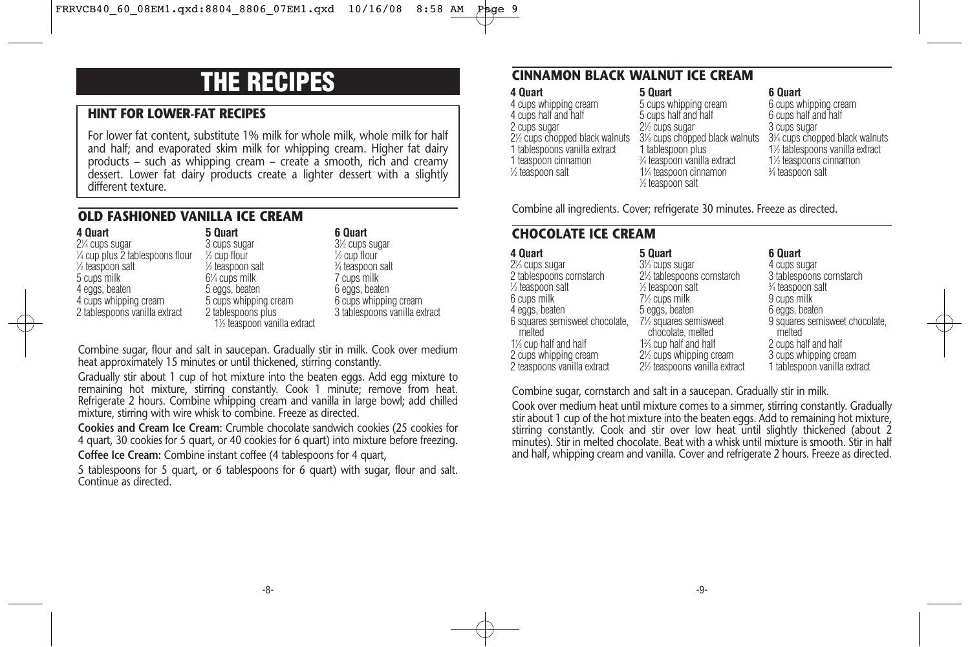## **THE RECIPES**

## **HINT FOR LOWER-FAT RECIPES**

For lower fat content, substitute 1% milk for whole milk, whole milk for half and half; and evaporated skim milk for whipping cream. Higher fat dairy products – such as whipping cream – create a smooth, rich and creamy dessert. Lower fat dairy products create a lighter dessert with a slightly different texture.

### **OLD FASHIONED VANILLA ICE CREAM**

**4 Quart** 21 ⁄4 cups sugar 1 ⁄4 cup plus 2 tablespoons flour 1 ⁄2 teaspoon salt 5 cups milk 4 eggs, beaten 4 cups whipping cream 2 tablespoons vanilla extract

**5 Quart** 3 cups sugar 1 ⁄2 cup flour 1 ⁄2 teaspoon salt 61 ⁄4 cups milk 5 eggs, beaten 5 cups whipping cream 2 tablespoons plus 11 ⁄2 teaspoon vanilla extract

#### **6 Quart** 31 ⁄2 cups sugar 1 ⁄2 cup flour 3 ⁄4 teaspoon salt 7 cups milk 6 eggs, beaten 6 cups whipping cream 3 tablespoons vanilla extract

Combine sugar, flour and salt in saucepan. Gradually stir in milk. Cook over medium heat approximately 15 minutes or until thickened, stirring constantly.

Gradually stir about 1 cup of hot mixture into the beaten eggs. Add egg mixture to remaining hot mixture, stirring constantly. Cook 1 minute; remove from heat. Refrigerate 2 hours. Combine whipping cream and vanilla in large bowl; add chilled mixture, stirring with wire whisk to combine. Freeze as directed.

**Cookies and Cream Ice Cream:** Crumble chocolate sandwich cookies (25 cookies for 4 quart, 30 cookies for 5 quart, or 40 cookies for 6 quart) into mixture before freezing. **Coffee Ice Cream:** Combine instant coffee (4 tablespoons for 4 quart,

5 tablespoons for 5 quart, or 6 tablespoons for 6 quart) with sugar, flour and salt. Continue as directed.

## **CINNAMON BLACK WALNUT ICE CREAM**

**4 Quart** 4 cups whipping cream 4 cups half and half 2 cups sugar 21 ⁄2 cups chopped black walnuts 1 tablespoons vanilla extract 1 teaspoon cinnamon 1 ⁄2 teaspoon salt

#### **5 Quart** 5 cups whipping cream 5 cups half and half 2<sup>1/2</sup> cups sugar 31 ⁄8 cups chopped black walnuts 1 tablespoon plus 3 ⁄4 teaspoon vanilla extract 11 ⁄4 teaspoon cinnamon 1 ⁄2 teaspoon salt

**6 Quart** 6 cups whipping cream 6 cups half and half 3 cups sugar 33 ⁄4 cups chopped black walnuts 11 ⁄2 tablespoons vanilla extract 11 ⁄2 teaspoons cinnamon 3 ⁄4 teaspoon salt

Combine all ingredients. Cover; refrigerate 30 minutes. Freeze as directed.

## **CHOCOLATE ICE CREAM**

| 4 Quart                                  | 5 Quart                                   | 6 Quart                                  |
|------------------------------------------|-------------------------------------------|------------------------------------------|
| 2% cups sugar                            | 3 <sup>1</sup> / <sub>3</sub> cups sugar  | 4 cups sugar                             |
| 2 tablespoons cornstarch                 | 2½ tablespoons cornstarch                 | 3 tablespoons cornstarch                 |
| $\frac{1}{2}$ teaspoon salt              | 1/ <sub>2</sub> teaspoon salt             | % teaspoon salt                          |
| 6 cups milk                              | 7½ cups milk                              | 9 cups milk                              |
| 4 eggs, beaten                           | 5 eggs, beaten                            | 6 eggs, beaten                           |
| 6 squares semisweet chocolate.<br>melted | 7½ squares semisweet<br>chocolate, melted | 9 squares semisweet chocolate.<br>melted |
| 1% cup half and half                     | 1% cup half and half                      | 2 cups half and half                     |
| 2 cups whipping cream                    | 2½ cups whipping cream                    | 3 cups whipping cream                    |
| 2 teaspoons vanilla extract              | 2½ teaspoons vanilla extract              | 1 tablespoon vanilla extract             |

Combine sugar, cornstarch and salt in a saucepan. Gradually stir in milk.

Cook over medium heat until mixture comes to a simmer, stirring constantly. Gradually stir about 1 cup of the hot mixture into the beaten eggs. Add to remaining hot mixture, stirring constantly. Cook and stir over low heat until slightly thickened (about 2 minutes). Stir in melted chocolate. Beat with a whisk until mixture is smooth. Stir in half and half, whipping cream and vanilla. Cover and refrigerate 2 hours. Freeze as directed.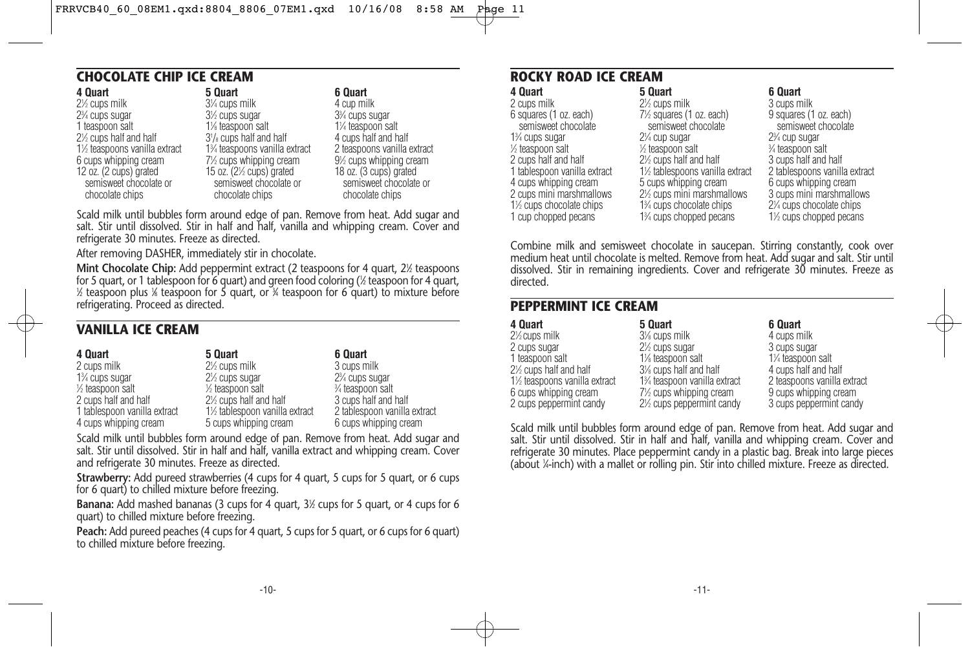## **CHOCOLATE CHIP ICE CREAM**

| 4 Quart                      | 5 Quart                           | 6 Quart                                  |
|------------------------------|-----------------------------------|------------------------------------------|
| 2½ cups milk                 | 3¼ cups milk                      | 4 cup milk                               |
| 2¾ cups sugar                | 3 <sup>1/2</sup> cups sugar       | 3 <sup>3</sup> / <sub>4</sub> cups sugar |
| 1 teaspoon salt              | 1% teaspoon salt                  | 1% teaspoon salt                         |
| 2½ cups half and half        | $3\frac{1}{8}$ cups half and half | 4 cups half and half                     |
| 1½ teaspoons vanilla extract | 1% teaspoons vanilla extract      | 2 teaspoons vanilla extract              |
| 6 cups whipping cream        | 7½ cups whipping cream            | 9½ cups whipping cream                   |
| 12 oz. (2 cups) grated       | 15 oz. (21/2 cups) grated         | 18 oz. (3 cups) grated                   |
| semisweet chocolate or       | semisweet chocolate or            | semisweet chocolate or                   |
| chocolate chips              | chocolate chips                   | chocolate chips                          |
|                              |                                   |                                          |

Scald milk until bubbles form around edge of pan. Remove from heat. Add sugar and salt. Stir until dissolved. Stir in half and half, vanilla and whipping cream. Cover and refrigerate 30 minutes. Freeze as directed.

After removing DASHER, immediately stir in chocolate.

**Mint Chocolate Chip:** Add peppermint extract (2 teaspoons for 4 quart, 2½ teaspoons for 5 quart, or 1 tablespoon for 6 quart) and green food coloring (1 ⁄2 teaspoon for 4 quart, 1 ⁄2 teaspoon plus 1 ⁄8 teaspoon for 5 quart, or 3 ⁄4 teaspoon for 6 quart) to mixture before refrigerating. Proceed as directed.

## **VANILLA ICE CREAM**

| 4 Quart                                  | 5 Quart                                  | 6 Quart                                  |
|------------------------------------------|------------------------------------------|------------------------------------------|
| 2 cups milk                              | 2 <sup>1/2</sup> cups milk               | 3 cups milk                              |
| 1 <sup>3</sup> / <sub>4</sub> cups sugar | 2 <sup>1</sup> / <sub>2</sub> cups sugar | 2 <sup>3</sup> / <sub>4</sub> cups sugar |
| 1/ <sub>2</sub> teaspoon salt            | $\frac{1}{2}$ teaspoon salt              | 3⁄4 teaspoon salt                        |
| 2 cups half and half                     | 2½ cups half and half                    | 3 cups half and half                     |
| 1 tablespoon vanilla extract             | 1½ tablespoon vanilla extract            | 2 tablespoon vanilla extract             |
| 4 cups whipping cream                    | 5 cups whipping cream                    | 6 cups whipping cream                    |

Scald milk until bubbles form around edge of pan. Remove from heat. Add sugar and salt. Stir until dissolved. Stir in half and half, vanilla extract and whipping cream. Cover and refrigerate 30 minutes. Freeze as directed.

**Strawberry:** Add pureed strawberries (4 cups for 4 quart, 5 cups for 5 quart, or 6 cups for 6 quart) to chilled mixture before freezing.

**Banana:** Add mashed bananas (3 cups for 4 quart, 3<sup>1</sup>/<sub>2</sub> cups for 5 quart, or 4 cups for 6 quart) to chilled mixture before freezing.

**Peach:** Add pureed peaches (4 cups for 4 quart, 5 cups for 5 quart, or 6 cups for 6 quart) to chilled mixture before freezing.

## **ROCKY ROAD ICE CREAM**

| 5 Quart                                 | 6 Quart                                                                                                                            |
|-----------------------------------------|------------------------------------------------------------------------------------------------------------------------------------|
| 2 <sup>1/2</sup> cups milk              | 3 cups milk                                                                                                                        |
|                                         | 9 squares (1 oz. each)                                                                                                             |
| semisweet chocolate                     | semisweet chocolate                                                                                                                |
| 2 <sup>1</sup> / <sub>4</sub> cup sugar | 2 <sup>3</sup> / <sub>4</sub> cup sugar                                                                                            |
| 1/ <sub>2</sub> teaspoon salt           | 3⁄4 teaspoon salt                                                                                                                  |
| 2 <sup>1/2</sup> cups half and half     | 3 cups half and half                                                                                                               |
| 1½ tablespoons vanilla extract          | 2 tablespoons vanilla extract                                                                                                      |
|                                         | 6 cups whipping cream                                                                                                              |
|                                         | 3 cups mini marshmallows                                                                                                           |
|                                         | 2¼ cups chocolate chips                                                                                                            |
|                                         | 1 <sup>/2</sup> cups chopped pecans                                                                                                |
|                                         | 7½ squares (1 oz. each)<br>5 cups whipping cream<br>2% cups mini marshmallows<br>1% cups chocolate chips<br>1% cups chopped pecans |

Combine milk and semisweet chocolate in saucepan. Stirring constantly, cook over medium heat until chocolate is melted. Remove from heat. Add sugar and salt. Stir until dissolved. Stir in remaining ingredients. Cover and refrigerate 30 minutes. Freeze as directed.

### **PEPPERMINT ICE CREAM**

| 4 Quart                      | 5 Quart                                             | 6 Quart                     |
|------------------------------|-----------------------------------------------------|-----------------------------|
| $2\frac{1}{2}$ cups milk     | 3% cups milk                                        | 4 cups milk                 |
| 2 cups sugar                 | 2 <sup>1/2</sup> cups sugar                         | 3 cups sugar                |
| 1 teaspoon salt              | 1% teaspoon salt                                    | 1¼ teaspoon salt            |
| 2% cups half and half        | 3% cups half and half                               | 4 cups half and half        |
| 1½ teaspoons vanilla extract | 1% teaspoon vanilla extract                         | 2 teaspoons vanilla extract |
| 6 cups whipping cream        | 7½ cups whipping cream                              | 9 cups whipping cream       |
| 2 cups peppermint candy      | 2 <sup>1</sup> / <sub>2</sub> cups peppermint candy | 3 cups peppermint candy     |

Scald milk until bubbles form around edge of pan. Remove from heat. Add sugar and salt. Stir until dissolved. Stir in half and half, vanilla and whipping cream. Cover and refrigerate 30 minutes. Place peppermint candy in a plastic bag. Break into large pieces (about 1 ⁄4-inch) with a mallet or rolling pin. Stir into chilled mixture. Freeze as directed.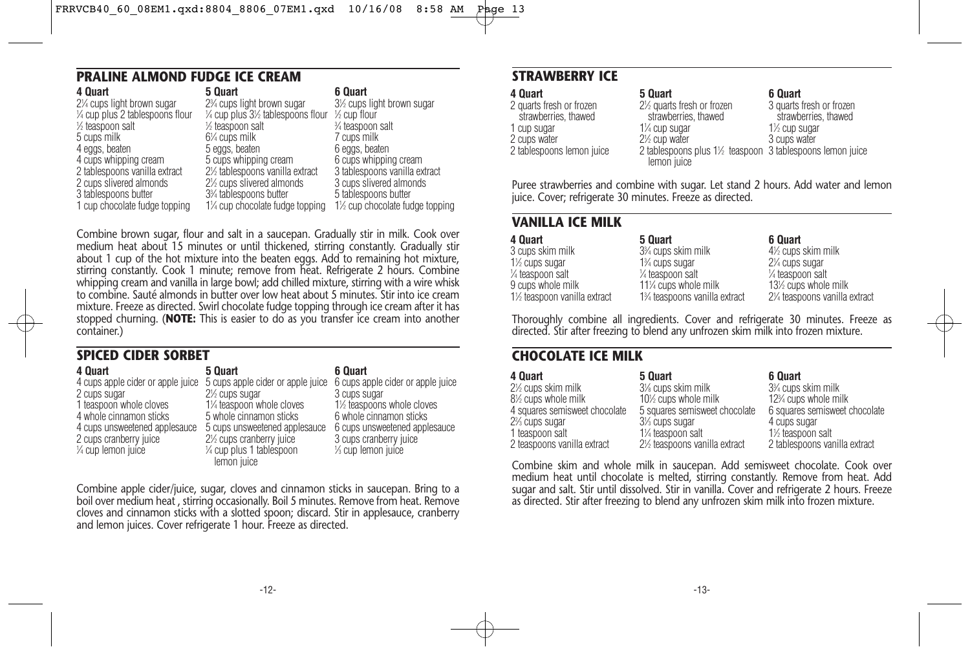|  | PRALINE ALMOND FUDGE ICE CREAM |  |  |
|--|--------------------------------|--|--|
|  |                                |  |  |

| 4 Quart                          | 5 Quart                                                 | 6 Quart                        |
|----------------------------------|---------------------------------------------------------|--------------------------------|
| 2¼ cups light brown sugar        | 2 <sup>3</sup> / <sub>4</sub> cups light brown sugar    | 3½ cups light brown sugar      |
| 1/4 cup plus 2 tablespoons flour | $\frac{1}{4}$ cup plus 3½ tablespoons flour ½ cup flour |                                |
| ½ teaspoon salt                  | 1/ <sub>2</sub> teaspoon salt                           | 3⁄4 teaspoon salt              |
| 5 cups milk                      | $6\%$ cups milk                                         | 7 cups milk                    |
| 4 eggs, beaten                   | 5 eggs, beaten                                          | 6 eggs, beaten                 |
| 4 cups whipping cream            | 5 cups whipping cream                                   | 6 cups whipping cream          |
| 2 tablespoons vanilla extract    | 2½ tablespoons vanilla extract                          | 3 tablespoons vanilla extract  |
| 2 cups slivered almonds          | 2½ cups slivered almonds                                | 3 cups slivered almonds        |
| 3 tablespoons butter             | 3% tablespoons butter                                   | 5 tablespoons butter           |
| 1 cup chocolate fudge topping    | 1¼ cup chocolate fudge topping                          | 1½ cup chocolate fudge topping |
|                                  |                                                         |                                |

Combine brown sugar, flour and salt in a saucepan. Gradually stir in milk. Cook over medium heat about 15 minutes or until thickened, stirring constantly. Gradually stir about 1 cup of the hot mixture into the beaten eggs. Add to remaining hot mixture, stirring constantly. Cook 1 minute; remove from heat. Refrigerate 2 hours. Combine whipping cream and vanilla in large bowl; add chilled mixture, stirring with a wire whisk to combine. Sauté almonds in butter over low heat about 5 minutes. Stir into ice cream mixture. Freeze as directed. Swirl chocolate fudge topping through ice cream after it has stopped churning. (**NOTE:** This is easier to do as you transfer ice cream into another container.)

## **SPICED CIDER SORBET**

| 4 Quart                           | 5 Quart                                                             | 6 Quart                         |
|-----------------------------------|---------------------------------------------------------------------|---------------------------------|
| 4 cups apple cider or apple juice | 5 cups apple cider or apple juice 6 cups apple cider or apple juice |                                 |
| 2 cups sugar                      | 2 <sup>1/2</sup> cups sugar                                         | 3 cups sugar                    |
| 1 teaspoon whole cloves           | 1¼ teaspoon whole cloves                                            | 1½ teaspoons whole cloves       |
| 4 whole cinnamon sticks           | 5 whole cinnamon sticks                                             | 6 whole cinnamon sticks         |
| 4 cups unsweetened applesauce     | 5 cups unsweetened applesauce                                       | 6 cups unsweetened applesauce   |
| 2 cups cranberry juice            | 2 <sup>1</sup> / <sub>2</sub> cups cranberry juice                  | 3 cups cranberry juice          |
| $\frac{1}{4}$ cup lemon juice     | $\frac{1}{4}$ cup plus 1 tablespoon                                 | 1/ <sub>3</sub> cup lemon juice |
|                                   | lemon juice                                                         |                                 |

Combine apple cider/juice, sugar, cloves and cinnamon sticks in saucepan. Bring to a boil over medium heat , stirring occasionally. Boil 5 minutes. Remove from heat. Remove cloves and cinnamon sticks with a slotted spoon; discard. Stir in applesauce, cranberry and lemon juices. Cover refrigerate 1 hour. Freeze as directed.

## **STRAWBERRY ICE**

| 4 Ouart                   |
|---------------------------|
| 2 quarts fresh or frozen  |
| strawberries, thawed      |
| 1 cup sugar               |
| 2 cups water              |
| 2 tablespoons lemon juice |
|                           |

#### **6 Quart**

21 ⁄2 quarts fresh or frozen strawberries, thawed 2 tablespoons plus 1<sup>1/2</sup> teaspoon 3 tablespoons lemon juice 3 quarts fresh or frozen strawberries, thawed 11 ⁄2 cup sugar 3 cups water

Puree strawberries and combine with sugar. Let stand 2 hours. Add water and lemon juice. Cover; refrigerate 30 minutes. Freeze as directed.

**5 Quart**

11 ⁄4 cup sugar 2<sup>1/2</sup> cup water

lemon juice

### **VANILLA ICE MILK**

| 4 Quart                     | 5 Quart                                      | 6 Quart                                  |
|-----------------------------|----------------------------------------------|------------------------------------------|
| 3 cups skim milk            | 3 <sup>3</sup> / <sub>4</sub> cups skim milk | 4 <sup>1/2</sup> cups skim milk          |
| 1 <sup>/2</sup> cups sugar  | 1 <sup>3</sup> / <sub>4</sub> cups sugar     | 2 <sup>1</sup> / <sub>4</sub> cups sugar |
| 1⁄4 teaspoon salt           | 1/ <sub>4</sub> teaspoon salt                | 1/4 teaspoon salt                        |
| 9 cups whole milk           | 11% cups whole milk                          | 13½ cups whole milk                      |
| 1½ teaspoon vanilla extract | 1% teaspoons vanilla extract                 | 2¼ teaspoons vanilla extract             |

Thoroughly combine all ingredients. Cover and refrigerate 30 minutes. Freeze as directed. Stir after freezing to blend any unfrozen skim milk into frozen mixture.

## **CHOCOLATE ICE MILK**

| 4 Quart                       | 5 Quart                                  | 6 Quart                                        |
|-------------------------------|------------------------------------------|------------------------------------------------|
| 2½ cups skim milk             | 3% cups skim milk                        | 3% cups skim milk                              |
| 8½ cups whole milk            | 10 <sup>%</sup> cups whole milk          | 12 <sup>3</sup> / <sub>4</sub> cups whole milk |
| 4 squares semisweet chocolate | 5 squares semisweet chocolate            | 6 squares semisweet chocolate                  |
| 2% cups sugar                 | 3 <sup>1</sup> / <sub>3</sub> cups sugar | 4 cups sugar                                   |
| 1 teaspoon salt               | 1¼ teaspoon salt                         | 1 <sup>1</sup> / <sub>2</sub> teaspoon salt    |
| 2 teaspoons vanilla extract   | 2½ teaspoons vanilla extract             | 2 tablespoons vanilla extract                  |

Combine skim and whole milk in saucepan. Add semisweet chocolate. Cook over medium heat until chocolate is melted, stirring constantly. Remove from heat. Add sugar and salt. Stir until dissolved. Stir in vanilla. Cover and refrigerate 2 hours. Freeze as directed. Stir after freezing to blend any unfrozen skim milk into frozen mixture.